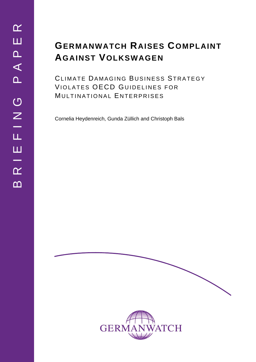# **GERMANWATCH RAISES COMPLAINT AGAINST VOLKSWAGEN**

CLIMATE DAMAGING BUSINESS STRATEGY VIOLATES OECD GUIDELINES FOR MULTINATIONAL ENTERPRISES

Cornelia Heydenreich, Gunda Züllich and Christoph Bals

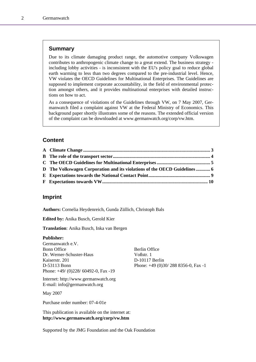### **Summary**

Due to its climate damaging product range, the automotive company Volkswagen contributes to anthropogenic climate change to a great extend. The business strategy including lobby activities - is inconsistent with the EU's policy goal to reduce global earth warming to less than two degrees compared to the pre-industrial level. Hence, VW violates the OECD Guidelines for Multinational Enterprises. The Guidelines are supposed to implement corporate accountability, in the field of environmental protection amongst others, and it provides multinational enterprises with detailed instructions on how to act.

As a consequence of violations of the Guidelines through VW, on 7 May 2007, Germanwatch filed a complaint against VW at the Federal Ministry of Economics. This background paper shortly illustrates some of the reasons. The extended official version of the complaint can be downloaded at www.germanwatch.org/corp/vw.htm.

### **Content**

| D The Volkswagen Corporation and its violations of the OECD Guidelines 6 |  |
|--------------------------------------------------------------------------|--|
|                                                                          |  |
|                                                                          |  |

### **Imprint**

**Authors:** Cornelia Heydenreich, Gunda Züllich, Christoph Bals

**Edited by:** Anika Busch, Gerold Kier

**Translation**: Anika Busch, Inka van Bergen

#### **Publisher:**

Germanwatch e.V. Bonn Office Berlin Office Dr. Werner-Schuster-Haus Voßstr. 1 Kaiserstr. 201 D-10117 Berlin Phone: +49/ (0)228/ 60492-0, Fax -19

Internet: http://www.germanwatch.org E-mail: info@germanwatch.org

May 2007

Purchase order number: 07-4-01e

This publication is available on the internet at: **http://www.germanwatch.org/corp/vw.htm**

D-53113 Bonn Phone: +49 (0)30/ 288 8356-0, Fax -1

Supported by the JMG Foundation and the Oak Foundation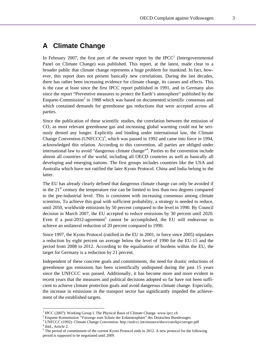# **A Climate Change**

In February 2007, the first part of the newest report by the IPCC<sup>1</sup> (Intergovernmental Panel on Climate Change) was published. This report, at the latest, made clear to a broader public that climate change represents a huge problem for mankind. In fact, however, this report does not present basically new correlations. During the last decades, there has rather been increasing evidence for climate change, its causes and effects. This is the case at least since the first IPCC report published in 1991, and in Germany also since the report "Preventive measures to protect the Earth's atmosphere" published by the Enquete-Commission<sup>2</sup> in 1988 which was based on documented scientific consensus and which contained demands for greenhouse gas reductions that were accepted across all parties.

Since the publication of these scientific studies, the correlation between the emission of  $CO<sub>2</sub>$  as most relevant greenhouse gas and increasing global warming could not be seriously denied any longer. Explicitly and binding under international law, the Climate Change Convention (UNFCCC)<sup>3</sup>, which was passed in 1992 and came into force in 1994, acknowledged this relation. According to this convention, all parties are obliged under international law to avoid "dangerous climate change"<sup>4</sup>. Parties to the convention include almost all countries of the world, including all OECD countries as well as basically all developing and emerging nations. The first groups includes countries like the USA and Australia which have not ratified the later Kyoto Protocol. China and India belong to the latter.

The EU has already clearly defined that dangerous climate change can only be avoided if in the  $21<sup>st</sup>$  century the temperature rise can be limited to less than two degrees compared to the pre-industrial level. This is consistent with increasing consensus among climate scientists. To achieve this goal with sufficient probability, a strategy is needed to reduce, until 2050, worldwide emissions by 50 percent compared to the level in 1990. By Council decision in March 2007, the EU accepted to reduce emissions by 30 percent until 2020. Even if a post-2012-agreement<sup>5</sup> cannot be accomplished, the EU will endeavour to achieve an unilateral reduction of 20 percent compared to 1990.

Since 1997, the Kyoto Protocol (ratified in the EU in 2001, in force since 2005) stipulates a reduction by eight percent on average below the level of 1990 for the EU-15 and the period from 2008 to 2012. According to the equalisation of burdens within the EU, the target for Germany is a reduction by 21 percent.

Independent of these concrete goals and commitments, the need for drastic reductions of greenhouse gas emissions has been scientifically undisputed during the past 15 years since the UNFCCC was passed. Additionally, it has become more and more evident in recent years that the measures and political decisions adopted so far have not been sufficient to achieve climate protection goals and avoid dangerous climate change. Especially, the increase in emissions in the transport sector has significantly impeded the achievement of the established targets.

<sup>&</sup>lt;sup>1</sup> IPCC (2007): Working Group I. The Physical Basis of Climate Change. www.ipcc.ch  $^2$  Engusta Kommission "Margarea zum Schutz der Erdatmagnhän" das Dautschen Bun

Procession "Vorsorge zum Schutz der Erdatmosphäre" des Deutschen Bundestages

<sup>&</sup>lt;sup>3</sup> UNFCCC (1992): Climate Change Convention. http://unfccc.int/resource/docs/convkp/convger.pdf <sup>4</sup> ibid., Article 2.

<sup>&</sup>lt;sup>5</sup> The period of commitment of the current Kyoto Protocol ends in 2012. A new protocol for the following period is supposed to be negotiated until 2009.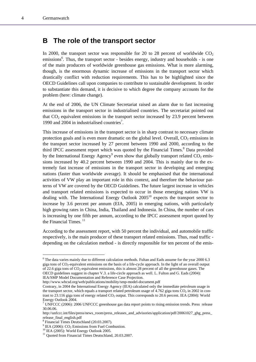### **B The role of the transport sector**

In 2000, the transport sector was responsible for 20 to 28 percent of worldwide  $CO<sub>2</sub>$ emissions<sup>6</sup>. Thus, the transport sector - besides energy, industry and households - is one of the main producers of worldwide greenhouse gas emissions. What is more alarming, though, is the enormous dynamic increase of emissions in the transport sector which drastically conflict with reduction requirements. This has to be highlighted since the OECD Guidelines call upon companies to contribute to sustainable development. In order to substantiate this demand, it is decisive to which degree the company accounts for the problem (here: climate change).

At the end of 2006, the UN Climate Secretariat raised an alarm due to fast increasing emissions in the transport sector in industrialised countries. The secretariat pointed out that  $CO<sub>2</sub>$  equivalent emissions in the transport sector increased by 23.9 percent between 1990 and 2004 in industrialised countries<sup>7</sup>.

This increase of emissions in the transport sector is in sharp contrast to necessary climate protection goals and is even more dramatic on the global level. Overall,  $CO<sub>2</sub>$  emissions in the transport sector increased by 27 percent between 1990 and 2000, according to the third IPCC assessment report which was quoted by the Financial Times.<sup>8</sup> Data provided by the International Energy Agency<sup>9</sup> even show that globally transport related  $CO_2$  emissions increased by 40.2 percent between 1990 and 2004. This is mainly due to the extremely fast increase of emissions in the transport sector in developing and emerging nations (faster than worldwide average). It should be emphasised that the international activities of VW play an important role in this context, and therefore the behaviour patterns of VW are covered by the OECD Guidelines. The future largest increase in vehicles and transport related emissions is expected to occur in those emerging nations VW is dealing with. The International Energy Outlook  $2005<sup>10</sup>$  expects the transport sector to increase by 3.6 percent per annum (EIA, 2005) in emerging nations, with particularly high growing rates in China, India, Thailand and Indonesia. In China, the number of cars is increasing by one fifth per annum, according to the IPCC assessment report quoted by the Financial Times. $11$ 

According to the assessment report, with 50 percent the individual, and automobile traffic respectively, is the main producer of these transport related emissions. Thus, road traffic depending on the calculation method - is directly responsible for ten percent of the emis-

http://www.wbcsd.org/web/publications/mobility/smp-model-document.pdf

<sup>&</sup>lt;sup>6</sup> The data varies mainly due to different calculation methods. Fultan and Eads assume for the year 2000 6.3 giga tons of CO2-equivalent emissions on the basis of a life-cycle approach. In the light of an overall output of 22.6 giga tons of  $CO_2$ -equivalent emissions, this is almost 28 percent of all the greenhouse gases. The OECD guidelines suggest in chapter V.3. a life-circle approach as well. L. Fulton and G. Eads (2004): IEA/SMP Model Documentation and Reference Case Projection.

Contrary, in 2004 the International Energy Agency (IEA) calculated only the immediate petroleum usage in the transport sector, which equals a transport related petroleum usage of 4.762 giga tons  $CO<sub>2</sub>$  in 2002 in contrast to 23.116 giga tons of energy related  $CO<sub>2</sub>$  output. This corresponds to 20.6 percent. IEA (2004): World Energy Outlook 2004.

<sup>&</sup>lt;sup>7</sup> UNFCCC (2006): 2006 UNFCCC greenhouse gas data report points to rising emission trends. Press release 30.06.06.

http://unfccc.int/files/press/news\_room/press\_releases\_and\_advisories/application/pdf/20061027\_ghg\_press\_ release\_final\_english.pdf

<sup>&</sup>lt;sup>8</sup> Financial Times Deutschland (20.03.2007).<br><sup>9</sup> IEA (2006): CO. Emissions from Eval Com

<sup>&</sup>lt;sup>9</sup> IEA (2006):  $CO_2$  Emissions from Fuel Combustion.<br><sup>10</sup> IEA (2005): World Energy Outlook 2005.

<sup>&</sup>lt;sup>11</sup> Ouoted from Financial Times Deutschland, 20.03.2007.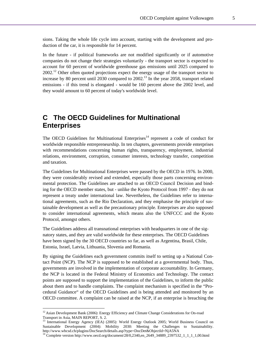sions. Taking the whole life cycle into account, starting with the development and production of the car, it is responsible for 14 percent.

In the future - if political frameworks are not modified significantly or if automotive companies do not change their strategies voluntarily - the transport sector is expected to account for 60 percent of worldwide greenhouse gas emissions until 2025 compared to  $2002<sup>12</sup>$  Other often quoted projections expect the energy usage of the transport sector to increase by 80 percent until 2030 compared to  $2002$ <sup>13</sup>. In the year 2058, transport related emissions - if this trend is elongated - would be 160 percent above the 2002 level, and they would amount to 60 percent of today's worldwide level.

# **C The OECD Guidelines for Multinational Enterprises**

The OECD Guidelines for Multinational Enterprises $14$  represent a code of conduct for worldwide responsible entrepreneurship. In ten chapters, governments provide enterprises with recommendations concerning human rights, transparency, employment, industrial relations, environment, corruption, consumer interests, technology transfer, competition and taxation.

The Guidelines for Multinational Enterprises were passed by the OECD in 1976. In 2000, they were considerably revised and extended, especially those parts concerning environmental protection. The Guidelines are attached to an OECD Council Decision and binding for the OECD member states, but - unlike the Kyoto Protocol from 1997 - they do not represent a treaty under international law. Nevertheless, the Guidelines refer to international agreements, such as the Rio Declaration, and they emphasise the principle of sustainable development as well as the precautionary principle. Enterprises are also supposed to consider international agreements, which means also the UNFCCC and the Kyoto Protocol, amongst others.

The Guidelines address all transnational enterprises with headquarters in one of the signatory states, and they are valid worldwide for these enterprises. The OECD Guidelines have been signed by the 30 OECD countries so far, as well as Argentina, Brasil, Chile, Estonia, Israel, Latvia, Lithuania, Slovenia and Romania.

By signing the Guidelines each government commits itself to setting up a National Contact Point (NCP). The NCP is supposed to be established at a governmental body. Thus, governments are involved in the implementation of corporate accountability. In Germany, the NCP is located in the Federal Ministry of Economics and Technology. The contact points are supposed to support the implementation of the Guidelines, to inform the public about them and to handle complaints. The complaint mechanism is specified in the "Procedural Guidance" of the OECD Guidelines and is being attended and monitored by an OECD committee. A complaint can be raised at the NCP, if an enterprise is breaching the

<sup>&</sup>lt;sup>12</sup> Asian Development Bank (2006): Energy Efficiency and Climate Change Considerations for On-road Transport in Asia, MAIN REPORT, S. 2.

<sup>&</sup>lt;sup>13</sup> International Energy Agency (IEA) (2005): World Energy Outlook 2005; World Business Council on Sustainable Development (2004): Mobility 2030: Meeting the Challenges to Sustainability. http://www.wbcsd.ch/plugins/DocSearch/details.asp?type=DocDet&ObjectId=NjA5NA 14 Complete version http://www.oecd.org/document/28/0,2340,en\_2649\_34889\_2397532\_1\_1\_1\_1,00.html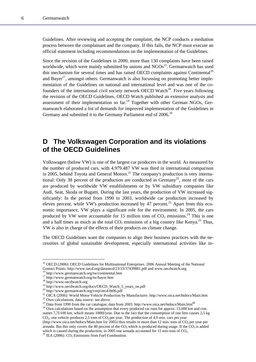Guidelines. After reviewing and accepting the complaint, the NCP conducts a mediation process between the complainant and the company. If this fails, the NCP must execute an official statement including recommendations on the implementation of the Guidelines.

Since the revision of the Guidelines in 2000, more than 130 complaints have been raised worldwide, which were mainly submitted by unions and  $NGOs<sup>15</sup>$ . Germanwatch has used this mechanism for several times and has raised OECD complaints against Continental<sup>16</sup> and Baver<sup>17</sup>, amongst others. Germanwatch is also focussing on promoting better implementation of the Guidelines on national and international level and was one of the cofounders of the international civil society network OECD Watch<sup>18</sup>. Five years following the revision of the OECD Guidelines, OECD Watch published an extensive analysis and assessment of their implementation so  $far$ <sup>19</sup> Together with other German NGOs, Germanwatch elaborated a list of demands for improved implementation of the Guidelines in Germany and submitted it to the Germany Parliament end of 2006.<sup>20</sup>

## **D The Volkswagen Corporation and its violations of the OECD Guidelines**

Volkswagen (below VW) is one of the largest car producers in the world. As measured by the number of produced cars, with 4.979.487 VW was third in international comparison in 2005, behind Toyota and General Motors.<sup>21</sup> The company's production is very international: Only 38 percent of the production are conducted in Germany<sup>22</sup>, most of the cars are produced by worldwide VW establishments or by VW subsidiary companies like Audi, Seat, Skoda or Bugatti. During the last years, the production of VW increased significantly: In the period from 1990 to 2003, worldwide car production increased by eleven percent, while VW's production increased by 47 percent.<sup>23</sup> Apart from this economic importance, VW plays a significant role for the environment. In 2005, the cars produced by VW were accountable for 15 million tons of  $CO<sub>2</sub>$  emissions.<sup>24</sup> This is one and a half times as much as the total  $CO<sub>2</sub>$  emissions of a big country like Kenya.<sup>25</sup> Thus, VW is also in charge of the effects of their products on climate change.

The OECD Guidelines want the companies to align their business practices with the necessities of global sustainable development, especially international activities like in-

 $\overline{a}$ 

<sup>&</sup>lt;sup>15</sup> OECD (2006): OECD Guidelines for Multinational Enterprises. 2006 Annual Meeting of the National Contact Points. http://www.oecd.org/dataoecd/23/33/37439881.pdf and www.oecdwatch.org 16 http://www.germanwatch.org/tw/continental.htm 17 http://www.germanwatch.org/tw/bayer.htm

<sup>18</sup> http://www.oecdwatch.org

<sup>19</sup> http://www.oecdwatch.org/docs/OECD\_Watch\_5\_years\_on.pdf

<sup>20</sup> http://www.germanwatch.org/corp/oecd-bt06.pdf

<sup>&</sup>lt;sup>21</sup> OICA (2006): World Motor Vehicle Production by Manufacturer. http://www.oica.net/htdocs/Main.htm<br><sup>22</sup> Own calculations, data source: see above.<br><sup>23</sup> Data from 1990 from the car catalogue; data from 2003: http://www.o

<sup>&</sup>lt;sup>24</sup> Own calculations based on the assumption that every produced car runs for approx. 13.000 km and consumes 7,7l/100 km, which means 1000l/year. Due to the fact that the consumption of one litre causes 2,5 kg  $CO<sub>2</sub>$ , one vehicle produces 2,5 tons of  $CO<sub>2</sub>$  per year. The production of 4,9 mio. cars per year

<sup>(</sup>http://www.oica.net/htdocs/Main.htm for 2005) thus results in more than 12 mio. tons of  $CO<sub>2</sub>$  per year per armada. But this only covers the 80 percent of the  $CO<sub>2</sub>$  which is produced during usage. If the  $CO<sub>2</sub>$  is added which is caused during the production, in 2005 one armada accounted for 15 mio tons of  $CO_2$ .<br><sup>25</sup> IEA (2006):  $CO_2$  Emissions from Fuel Combustion.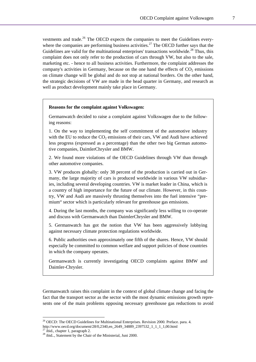vestments and trade.<sup>26</sup> The OECD expects the companies to meet the Guidelines everywhere the companies are performing business activities.<sup>27</sup> The OECD further says that the Guidelines are valid for the multinational enterprises' transactions worldwide.<sup>28</sup> Thus, this complaint does not only refer to the production of cars through VW, but also to the sale, marketing etc. - hence to all business activities. Furthermore, the complaint addresses the company's activities in Germany, because on the one hand the effects of  $CO<sub>2</sub>$  emissions on climate change will be global and do not stop at national borders. On the other hand, the strategic decisions of VW are made in the head quarter in Germany, and research as well as product development mainly take place in Germany.

### **Reasons for the complaint against Volkswagen:**

Germanwatch decided to raise a complaint against Volkswagen due to the following reasons:

1. On the way to implementing the self commitment of the automotive industry with the EU to reduce the  $CO_2$  emissions of their cars, VW and Audi have achieved less progress (expressed as a percentage) than the other two big German automotive companies, DaimlerChrysler and BMW.

2. We found more violations of the OECD Guidelines through VW than through other automotive companies.

3. VW produces globally: only 38 percent of the production is carried out in Germany, the large majority of cars is produced worldwide in various VW subsidiaries, including several developing countries. VW is market leader in China, which is a country of high importance for the future of our climate. However, in this country, VW and Audi are massively thrusting themselves into the fuel intensive "premium" sector which is particularly relevant for greenhouse gas emissions.

4. During the last months, the company was significantly less willing to co-operate and discuss with Germanwatch than DaimlerChrysler and BMW.

5. Germanwatch has got the notion that VW has been aggressively lobbying against necessary climate protection regulations worldwide.

6. Public authorities own approximately one fifth of the shares. Hence, VW should especially be committed to common welfare and support policies of those countries in which the company operates.

Germanwatch is currently investigating OECD complaints against BMW and Daimler-Chrysler.

Germanwatch raises this complaint in the context of global climate change and facing the fact that the transport sector as the sector with the most dynamic emissions growth represents one of the main problems opposing necessary greenhouse gas reductions to avoid

 $\overline{a}$ 

<sup>&</sup>lt;sup>26</sup> OECD: The OECD Guidelines for Multinational Enterprises. Revision 2000. Preface. para. 4.

http://www.oecd.org/document/28/0,2340,en\_2649\_34889\_2397532\_1\_1\_1\_1,00.html 27 ibid., chapter 1, paragraph 2.

<sup>&</sup>lt;sup>28</sup> ibid.., Statement by the Chair of the Ministerial, Juni 2000.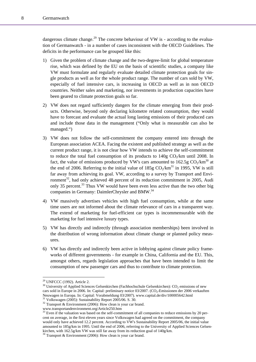dangerous climate change.<sup>29</sup> The concrete behaviour of VW is - according to the evaluation of Germanwatch - in a number of cases inconsistent with the OECD Guidelines. The deficits in the performance can be grouped like this:

- 1) Given the problem of climate change and the two-degree-limit for global temperature rise, which was defined by the EU on the basis of scientific studies, a company like VW must formulate and regularly evaluate detailed climate protection goals for single products as well as for the whole product range. The number of cars sold by VW, especially of fuel intensive cars, is increasing in OECD as well as in non OECD countries. Neither sales and marketing, nor investments in production capacities have been geared to climate protection goals so far.
- 2) VW does not regard sufficiently dangers for the climate emerging from their products. Otherwise, beyond only declaring kilometre related consumption, they would have to forecast and evaluate the actual long lasting emissions of their produced cars and include those data in the management ("Only what is measurable can also be managed.")
- 3) VW does not follow the self-commitment the company entered into through the European association ACEA. Facing the existent and published strategy as well as the current product range, it is not clear how VW intends to achieve the self-commitment to reduce the total fuel consumption of its products to  $140g \text{ CO}_2/\text{km}$  until 2008. In fact, the value of emissions produced by VW's cars amounted to  $162.5g \text{ CO}_2/km^{30}$  at the end of 2006. Referring to the initial value of  $185g \text{ CO}_2/\text{km}^{31}$  in 1995, VW is still far away from achieving its goal. VW, according to a survey by Transport and Environment $32$ , had only achieved 48 percent of its reduction commitment in 2005, Audi only 35 percent.<sup>33</sup> Thus VW would have been even less active than the two other big companies in Germany: DaimlerChrysler and BMW.<sup>34</sup>
- 4) VW massively advertises vehicles with high fuel consumption, while at the same time users are not informed about the climate relevance of cars in a transparent way. The extend of marketing for fuel-efficient car types is incommensurable with the marketing for fuel intensive luxury types.
- 5) VW has directly and indirectly (through association memberships) been involved in the distribution of wrong information about climate change or planned policy measures.
- 6) VW has directly and indirectly been active in lobbying against climate policy frameworks of different governments - for example in China, California and the EU. This, amongst others, regards legislation approaches that have been intended to limit the consumption of new passenger cars and thus to contribute to climate protection.

<sup>29</sup> UNFCCC (1992). Article 2.

 $30$  University of Applied Sciences Gelsenkirchen (Fachhochschule Gelsenkirchen):  $CO_2$  emissions of new cars sold in Europe in 2006. In: Capital: preliminary notice 03/2007. (CO<sub>2</sub>-Emissionen der 2006 verkauften Neuwagen in Europa. In: Capital: Vorabmeldung 03/2007). www.capital.de/div/100005642.html 31 Volkswagen (2005): Sustainability Report 2005/06. S. 30.

 $32$  Transport & Environment (2006): How clean is your car brand.

www.transportandenvironment.org/Article250.htm<br><sup>33</sup> Even if the valuation was based on the self-commitment of all companies to reduce emissions by 20 percent on average, in the first eleven years since Volkswagen had agreed on the commitment, the company would only have achieved 12.2 percent. According to VW's Sustainability Report 2005/06, the initial value amounted to 185g/km in 1995. Until the end of 2006, referring to the University of Applied Sciences Gelsenkirchen, with 162.5g/km VW was still far away from its reduction goal of 140g/km. <sup>34</sup> Transport & Environment (2006): How clean is your car brand.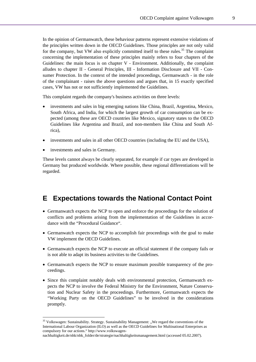In the opinion of Germanwatch, these behaviour patterns represent extensive violations of the principles written down in the OECD Guidelines. Those principles are not only valid for the company, but VW also explicitly committed itself to these rules.<sup>35</sup> The complaint concerning the implementation of these principles mainly refers to four chapters of the Guidelines: the main focus is on chapter V - Environment. Additionally, the complaint alludes to chapter II - General Principles, III - Information Disclosure and VII - Consumer Protection. In the context of the intended proceedings, Germanwatch - in the role of the complainant - raises the above questions and argues that, in 15 exactly specified cases, VW has not or not sufficiently implemented the Guidelines.

This complaint regards the company's business activities on three levels:

- investments and sales in big emerging nations like China, Brazil, Argentina, Mexico, South Africa, and India, for which the largest growth of car consumption can be expected (among these are OECD countries like Mexico, signatory states to the OECD Guidelines like Argentina and Brazil, and non-members like China and South Africa),
- investments and sales in all other OECD countries (including the EU and the USA),
- investments and sales in Germany.

 $\overline{a}$ 

These levels cannot always be clearly separated, for example if car types are developed in Germany but produced worldwide. Where possible, these regional differentiations will be regarded.

### **E Expectations towards the National Contact Point**

- Germanwatch expects the NCP to open and enforce the proceedings for the solution of conflicts and problems arising from the implementation of the Guidelines in accordance with the "Procedural Guidance".
- Germanwatch expects the NCP to accomplish fair proceedings with the goal to make VW implement the OECD Guidelines.
- Germanwatch expects the NCP to execute an official statement if the company fails or is not able to adapt its business activities to the Guidelines.
- Germanwatch expects the NCP to ensure maximum possible transparency of the proceedings.
- Since this complaint notably deals with environmental protection, Germanwatch expects the NCP to involve the Federal Ministry for the Environment, Nature Conservation and Nuclear Safety in the proceedings. Furthermore, Germanwatch expects the "Working Party on the OECD Guidelines" to be involved in the considerations promptly.

<sup>&</sup>lt;sup>35</sup> Volkswagen: Sustainability. Strategy. Sustainability Management: "We regard the conventions of the International Labour Organization (ILO) as well as the OECD Guidelines for Multinational Enterprises as compulsory for our actions." http://www.volkswagen-

nachhaltigkeit.de/nhk/nhk\_folder/de/strategie/nachhaltigkeitsmanagement.html (accessed 05.02.2007).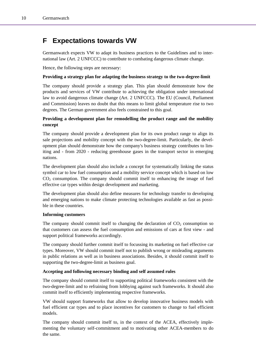# **F Expectations towards VW**

Germanwatch expects VW to adapt its business practices to the Guidelines and to international law (Art. 2 UNFCCC) to contribute to combating dangerous climate change.

Hence, the following steps are necessary:

### **Providing a strategy plan for adapting the business strategy to the two-degree-limit**

The company should provide a strategy plan. This plan should demonstrate how the products and services of VW contribute to achieving the obligation under international law to avoid dangerous climate change (Art. 2 UNFCCC). The EU (Council, Parliament and Commission) leaves no doubt that this means to limit global temperature rise to two degrees. The German government also feels constrained to this goal.

### **Providing a development plan for remodelling the product range and the mobility concept**

The company should provide a development plan for its own product range to align its sale projections and mobility concept with the two-degree-limit. Particularly, the development plan should demonstrate how the company's business strategy contributes to limiting and - from 2020 - reducing greenhouse gases in the transport sector in emerging nations.

The development plan should also include a concept for systematically linking the status symbol car to low fuel consumption and a mobility service concept which is based on low  $CO<sub>2</sub>$  consumption. The company should commit itself to enhancing the image of fuel effective car types within design development and marketing.

The development plan should also define measures for technology transfer to developing and emerging nations to make climate protecting technologies available as fast as possible in these countries.

#### **Informing customers**

The company should commit itself to changing the declaration of  $CO<sub>2</sub>$  consumption so that customers can assess the fuel consumption and emissions of cars at first view - and support political frameworks accordingly.

The company should further commit itself to focussing its marketing on fuel effective car types. Moreover, VW should commit itself not to publish wrong or misleading arguments in public relations as well as in business associations. Besides, it should commit itself to supporting the two-degree-limit as business goal.

#### **Accepting and following necessary binding and self assumed rules**

The company should commit itself to supporting political frameworks consistent with the two-degree-limit and to refraining from lobbying against such frameworks. It should also commit itself to efficiently implementing respective frameworks.

VW should support frameworks that allow to develop innovative business models with fuel efficient car types and to place incentives for customers to change to fuel efficient models.

The company should commit itself to, in the context of the ACEA, effectively implementing the voluntary self-commitment and to motivating other ACEA-members to do the same.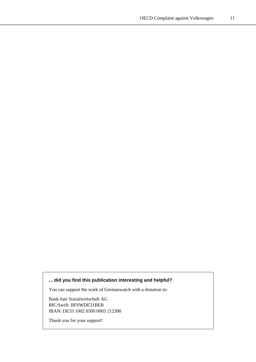### **... did you find this publication interesting and helpful?**

You can support the work of Germanwatch with a donation to:

Bank fuer Sozialwirtschaft AG BIC/Swift: BFSWDE31BER IBAN: DE33 1002 0500 0003 212300

Thank you for your support!